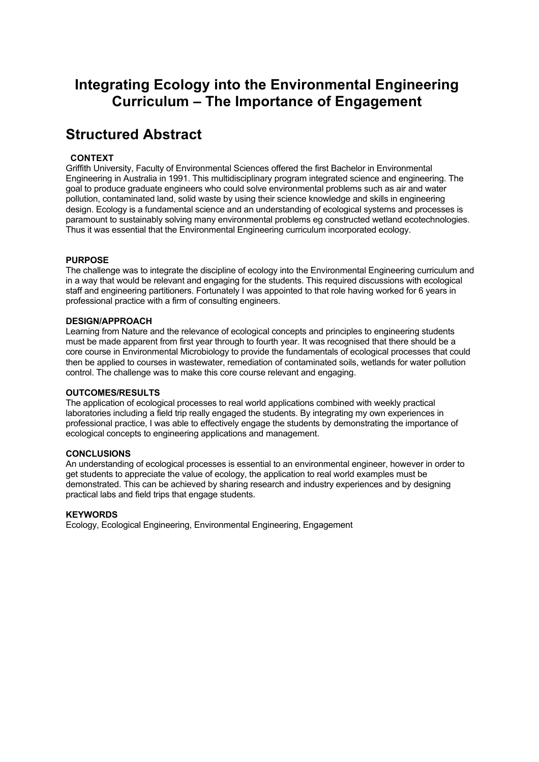# **Integrating Ecology into the Environmental Engineering Curriculum – The Importance of Engagement**

# **Structured Abstract**

## **CONTEXT**

Griffith University, Faculty of Environmental Sciences offered the first Bachelor in Environmental Engineering in Australia in 1991. This multidisciplinary program integrated science and engineering. The goal to produce graduate engineers who could solve environmental problems such as air and water pollution, contaminated land, solid waste by using their science knowledge and skills in engineering design. Ecology is a fundamental science and an understanding of ecological systems and processes is paramount to sustainably solving many environmental problems eg constructed wetland ecotechnologies. Thus it was essential that the Environmental Engineering curriculum incorporated ecology.

## **PURPOSE**

The challenge was to integrate the discipline of ecology into the Environmental Engineering curriculum and in a way that would be relevant and engaging for the students. This required discussions with ecological staff and engineering partitioners. Fortunately I was appointed to that role having worked for 6 years in professional practice with a firm of consulting engineers.

#### **DESIGN/APPROACH**

Learning from Nature and the relevance of ecological concepts and principles to engineering students must be made apparent from first year through to fourth year. It was recognised that there should be a core course in Environmental Microbiology to provide the fundamentals of ecological processes that could then be applied to courses in wastewater, remediation of contaminated soils, wetlands for water pollution control. The challenge was to make this core course relevant and engaging.

#### **OUTCOMES/RESULTS**

The application of ecological processes to real world applications combined with weekly practical laboratories including a field trip really engaged the students. By integrating my own experiences in professional practice, I was able to effectively engage the students by demonstrating the importance of ecological concepts to engineering applications and management.

#### **CONCLUSIONS**

An understanding of ecological processes is essential to an environmental engineer, however in order to get students to appreciate the value of ecology, the application to real world examples must be demonstrated. This can be achieved by sharing research and industry experiences and by designing practical labs and field trips that engage students.

## **KEYWORDS**

Ecology, Ecological Engineering, Environmental Engineering, Engagement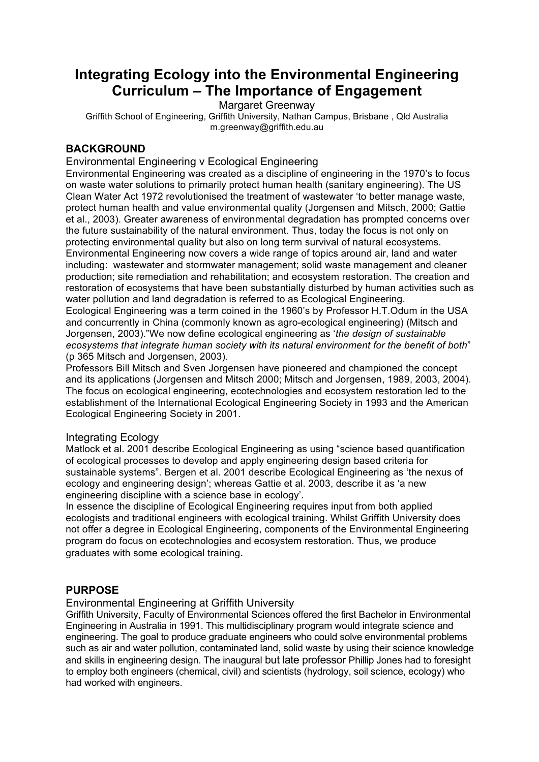# **Integrating Ecology into the Environmental Engineering Curriculum – The Importance of Engagement**

Margaret Greenway

Griffith School of Engineering, Griffith University, Nathan Campus, Brisbane , Qld Australia m.greenway@griffith.edu.au

# **BACKGROUND**

## Environmental Engineering v Ecological Engineering

Environmental Engineering was created as a discipline of engineering in the 1970's to focus on waste water solutions to primarily protect human health (sanitary engineering). The US Clean Water Act 1972 revolutionised the treatment of wastewater 'to better manage waste, protect human health and value environmental quality (Jorgensen and Mitsch, 2000; Gattie et al., 2003). Greater awareness of environmental degradation has prompted concerns over the future sustainability of the natural environment. Thus, today the focus is not only on protecting environmental quality but also on long term survival of natural ecosystems. Environmental Engineering now covers a wide range of topics around air, land and water including: wastewater and stormwater management; solid waste management and cleaner production; site remediation and rehabilitation; and ecosystem restoration. The creation and restoration of ecosystems that have been substantially disturbed by human activities such as water pollution and land degradation is referred to as Ecological Engineering. Ecological Engineering was a term coined in the 1960's by Professor H.T.Odum in the USA and concurrently in China (commonly known as agro-ecological engineering) (Mitsch and Jorgensen, 2003)."We now define ecological engineering as '*the design of sustainable ecosystems that integrate human society with its natural environment for the benefit of both*" (p 365 Mitsch and Jorgensen, 2003).

Professors Bill Mitsch and Sven Jorgensen have pioneered and championed the concept and its applications (Jorgensen and Mitsch 2000; Mitsch and Jorgensen, 1989, 2003, 2004). The focus on ecological engineering, ecotechnologies and ecosystem restoration led to the establishment of the International Ecological Engineering Society in 1993 and the American Ecological Engineering Society in 2001.

## Integrating Ecology

Matlock et al. 2001 describe Ecological Engineering as using "science based quantification of ecological processes to develop and apply engineering design based criteria for sustainable systems". Bergen et al. 2001 describe Ecological Engineering as 'the nexus of ecology and engineering design'; whereas Gattie et al. 2003, describe it as 'a new engineering discipline with a science base in ecology'.

In essence the discipline of Ecological Engineering requires input from both applied ecologists and traditional engineers with ecological training. Whilst Griffith University does not offer a degree in Ecological Engineering, components of the Environmental Engineering program do focus on ecotechnologies and ecosystem restoration. Thus, we produce graduates with some ecological training.

## **PURPOSE**

## Environmental Engineering at Griffith University

Griffith University, Faculty of Environmental Sciences offered the first Bachelor in Environmental Engineering in Australia in 1991. This multidisciplinary program would integrate science and engineering. The goal to produce graduate engineers who could solve environmental problems such as air and water pollution, contaminated land, solid waste by using their science knowledge and skills in engineering design. The inaugural but late professor Phillip Jones had to foresight to employ both engineers (chemical, civil) and scientists (hydrology, soil science, ecology) who had worked with engineers.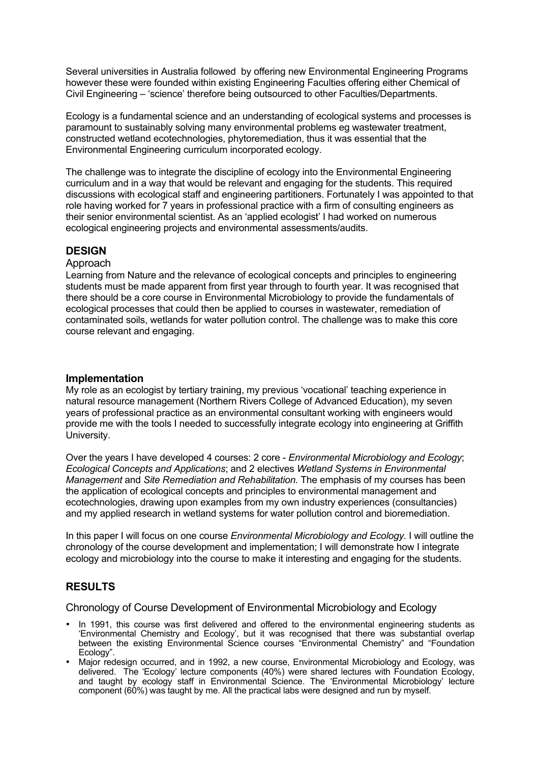Several universities in Australia followed by offering new Environmental Engineering Programs however these were founded within existing Engineering Faculties offering either Chemical of Civil Engineering – 'science' therefore being outsourced to other Faculties/Departments.

Ecology is a fundamental science and an understanding of ecological systems and processes is paramount to sustainably solving many environmental problems eg wastewater treatment, constructed wetland ecotechnologies, phytoremediation, thus it was essential that the Environmental Engineering curriculum incorporated ecology.

The challenge was to integrate the discipline of ecology into the Environmental Engineering curriculum and in a way that would be relevant and engaging for the students. This required discussions with ecological staff and engineering partitioners. Fortunately I was appointed to that role having worked for 7 years in professional practice with a firm of consulting engineers as their senior environmental scientist. As an 'applied ecologist' I had worked on numerous ecological engineering projects and environmental assessments/audits.

## **DESIGN**

## Approach

Learning from Nature and the relevance of ecological concepts and principles to engineering students must be made apparent from first year through to fourth year. It was recognised that there should be a core course in Environmental Microbiology to provide the fundamentals of ecological processes that could then be applied to courses in wastewater, remediation of contaminated soils, wetlands for water pollution control. The challenge was to make this core course relevant and engaging.

## **Implementation**

My role as an ecologist by tertiary training, my previous 'vocational' teaching experience in natural resource management (Northern Rivers College of Advanced Education), my seven years of professional practice as an environmental consultant working with engineers would provide me with the tools I needed to successfully integrate ecology into engineering at Griffith University.

Over the years I have developed 4 courses: 2 core - *Environmental Microbiology and Ecology*; *Ecological Concepts and Applications*; and 2 electives *Wetland Systems in Environmental Management* and *Site Remediation and Rehabilitation.* The emphasis of my courses has been the application of ecological concepts and principles to environmental management and ecotechnologies, drawing upon examples from my own industry experiences (consultancies) and my applied research in wetland systems for water pollution control and bioremediation.

In this paper I will focus on one course *Environmental Microbiology and Ecology.* I will outline the chronology of the course development and implementation; I will demonstrate how I integrate ecology and microbiology into the course to make it interesting and engaging for the students.

## **RESULTS**

Chronology of Course Development of Environmental Microbiology and Ecology

- In 1991, this course was first delivered and offered to the environmental engineering students as 'Environmental Chemistry and Ecology', but it was recognised that there was substantial overlap between the existing Environmental Science courses "Environmental Chemistry" and "Foundation Ecology".
- Major redesign occurred, and in 1992, a new course, Environmental Microbiology and Ecology, was delivered. The 'Ecology' lecture components (40%) were shared lectures with Foundation Ecology, and taught by ecology staff in Environmental Science. The 'Environmental Microbiology' lecture component (60%) was taught by me. All the practical labs were designed and run by myself.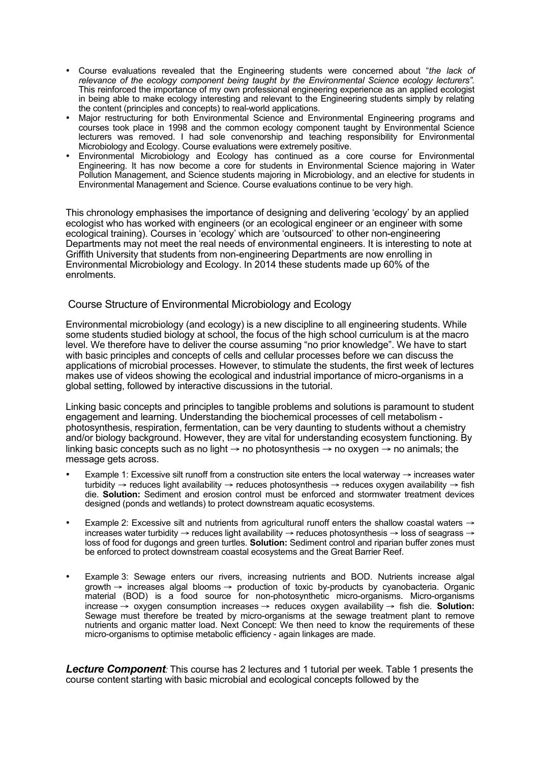- Course evaluations revealed that the Engineering students were concerned about "*the lack of relevance of the ecology component being taught by the Environmental Science ecology lecturers".* This reinforced the importance of my own professional engineering experience as an applied ecologist in being able to make ecology interesting and relevant to the Engineering students simply by relating the content (principles and concepts) to real-world applications.
- Major restructuring for both Environmental Science and Environmental Engineering programs and courses took place in 1998 and the common ecology component taught by Environmental Science lecturers was removed. I had sole convenorship and teaching responsibility for Environmental Microbiology and Ecology. Course evaluations were extremely positive.
- Environmental Microbiology and Ecology has continued as a core course for Environmental Engineering. It has now become a core for students in Environmental Science majoring in Water Pollution Management, and Science students majoring in Microbiology, and an elective for students in Environmental Management and Science. Course evaluations continue to be very high.

This chronology emphasises the importance of designing and delivering 'ecology' by an applied ecologist who has worked with engineers (or an ecological engineer or an engineer with some ecological training). Courses in 'ecology' which are 'outsourced' to other non-engineering Departments may not meet the real needs of environmental engineers. It is interesting to note at Griffith University that students from non-engineering Departments are now enrolling in Environmental Microbiology and Ecology. In 2014 these students made up 60% of the enrolments.

## Course Structure of Environmental Microbiology and Ecology

Environmental microbiology (and ecology) is a new discipline to all engineering students. While some students studied biology at school, the focus of the high school curriculum is at the macro level. We therefore have to deliver the course assuming "no prior knowledge". We have to start with basic principles and concepts of cells and cellular processes before we can discuss the applications of microbial processes. However, to stimulate the students, the first week of lectures makes use of videos showing the ecological and industrial importance of micro-organisms in a global setting, followed by interactive discussions in the tutorial.

Linking basic concepts and principles to tangible problems and solutions is paramount to student engagement and learning. Understanding the biochemical processes of cell metabolism photosynthesis, respiration, fermentation, can be very daunting to students without a chemistry and/or biology background. However, they are vital for understanding ecosystem functioning. By linking basic concepts such as no light  $\rightarrow$  no photosynthesis  $\rightarrow$  no oxygen  $\rightarrow$  no animals; the message gets across.

- Example 1: Excessive silt runoff from a construction site enters the local waterway → increases water turbidity → reduces light availability → reduces photosynthesis → reduces oxygen availability → fish die. **Solution:** Sediment and erosion control must be enforced and stormwater treatment devices designed (ponds and wetlands) to protect downstream aquatic ecosystems.
- Example 2: Excessive silt and nutrients from agricultural runoff enters the shallow coastal waters → increases water turbidity → reduces light availability → reduces photosynthesis → loss of seagrass → loss of food for dugongs and green turtles. **Solution:** Sediment control and riparian buffer zones must be enforced to protect downstream coastal ecosystems and the Great Barrier Reef.
- Example 3: Sewage enters our rivers, increasing nutrients and BOD. Nutrients increase algal growth → increases algal blooms → production of toxic by-products by cyanobacteria. Organic material (BOD) is a food source for non-photosynthetic micro-organisms. Micro-organisms increase → oxygen consumption increases → reduces oxygen availability → fish die. **Solution:** Sewage must therefore be treated by micro-organisms at the sewage treatment plant to remove nutrients and organic matter load. Next Concept: We then need to know the requirements of these micro-organisms to optimise metabolic efficiency - again linkages are made.

**Lecture Component**: This course has 2 lectures and 1 tutorial per week. Table 1 presents the course content starting with basic microbial and ecological concepts followed by the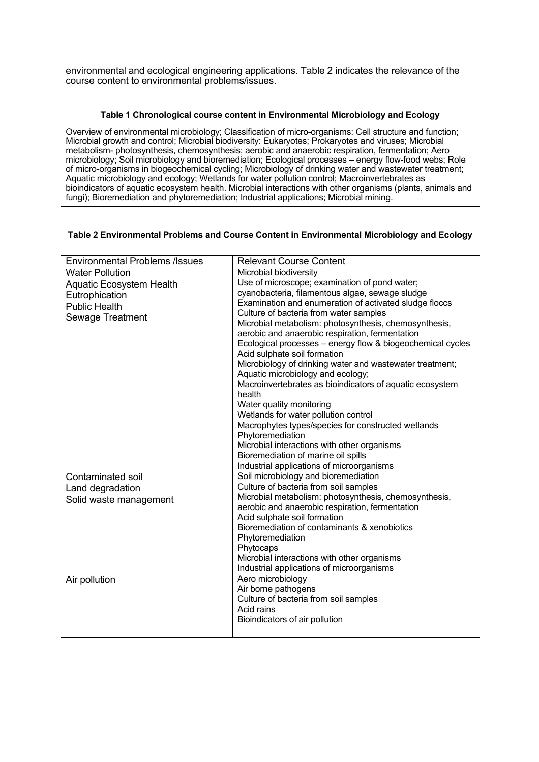environmental and ecological engineering applications. Table 2 indicates the relevance of the course content to environmental problems/issues.

#### **Table 1 Chronological course content in Environmental Microbiology and Ecology**

Overview of environmental microbiology; Classification of micro-organisms: Cell structure and function; Microbial growth and control; Microbial biodiversity: Eukaryotes; Prokaryotes and viruses; Microbial metabolism- photosynthesis, chemosynthesis; aerobic and anaerobic respiration, fermentation; Aero microbiology; Soil microbiology and bioremediation; Ecological processes – energy flow-food webs; Role of micro-organisms in biogeochemical cycling; Microbiology of drinking water and wastewater treatment; Aquatic microbiology and ecology; Wetlands for water pollution control; Macroinvertebrates as bioindicators of aquatic ecosystem health. Microbial interactions with other organisms (plants, animals and fungi); Bioremediation and phytoremediation; Industrial applications; Microbial mining.

## **Table 2 Environmental Problems and Course Content in Environmental Microbiology and Ecology**

| <b>Environmental Problems /Issues</b> | <b>Relevant Course Content</b>                             |
|---------------------------------------|------------------------------------------------------------|
| <b>Water Pollution</b>                | Microbial biodiversity                                     |
| Aquatic Ecosystem Health              | Use of microscope; examination of pond water;              |
| Eutrophication                        | cyanobacteria, filamentous algae, sewage sludge            |
| <b>Public Health</b>                  | Examination and enumeration of activated sludge floccs     |
| Sewage Treatment                      | Culture of bacteria from water samples                     |
|                                       | Microbial metabolism: photosynthesis, chemosynthesis,      |
|                                       | aerobic and anaerobic respiration, fermentation            |
|                                       | Ecological processes - energy flow & biogeochemical cycles |
|                                       | Acid sulphate soil formation                               |
|                                       | Microbiology of drinking water and wastewater treatment;   |
|                                       | Aquatic microbiology and ecology;                          |
|                                       | Macroinvertebrates as bioindicators of aquatic ecosystem   |
|                                       | health                                                     |
|                                       | Water quality monitoring                                   |
|                                       | Wetlands for water pollution control                       |
|                                       | Macrophytes types/species for constructed wetlands         |
|                                       | Phytoremediation                                           |
|                                       | Microbial interactions with other organisms                |
|                                       | Bioremediation of marine oil spills                        |
|                                       | Industrial applications of microorganisms                  |
| Contaminated soil                     | Soil microbiology and bioremediation                       |
| Land degradation                      | Culture of bacteria from soil samples                      |
| Solid waste management                | Microbial metabolism: photosynthesis, chemosynthesis,      |
|                                       | aerobic and anaerobic respiration, fermentation            |
|                                       | Acid sulphate soil formation                               |
|                                       | Bioremediation of contaminants & xenobiotics               |
|                                       | Phytoremediation                                           |
|                                       | Phytocaps                                                  |
|                                       | Microbial interactions with other organisms                |
|                                       | Industrial applications of microorganisms                  |
| Air pollution                         | Aero microbiology                                          |
|                                       | Air borne pathogens                                        |
|                                       | Culture of bacteria from soil samples                      |
|                                       | Acid rains                                                 |
|                                       | Bioindicators of air pollution                             |
|                                       |                                                            |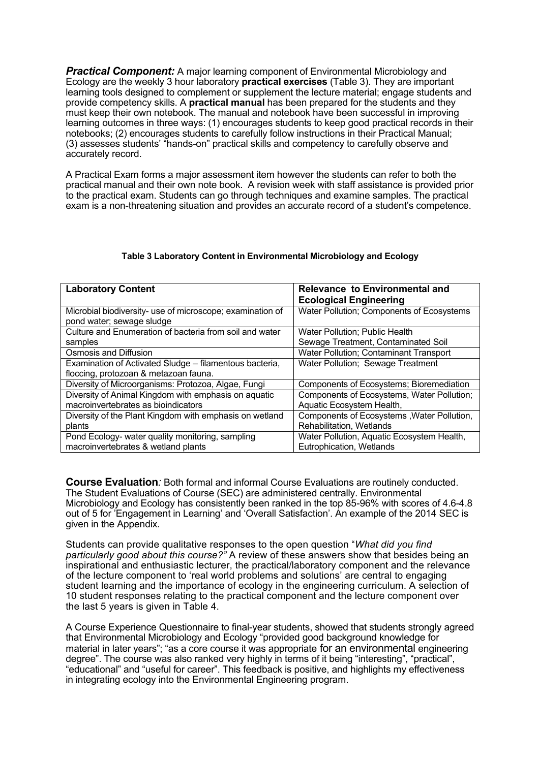*Practical Component:* A major learning component of Environmental Microbiology and Ecology are the weekly 3 hour laboratory **practical exercises** (Table 3). They are important learning tools designed to complement or supplement the lecture material; engage students and provide competency skills. A **practical manual** has been prepared for the students and they must keep their own notebook. The manual and notebook have been successful in improving learning outcomes in three ways: (1) encourages students to keep good practical records in their notebooks; (2) encourages students to carefully follow instructions in their Practical Manual; (3) assesses students' "hands-on" practical skills and competency to carefully observe and accurately record.

A Practical Exam forms a major assessment item however the students can refer to both the practical manual and their own note book. A revision week with staff assistance is provided prior to the practical exam. Students can go through techniques and examine samples. The practical exam is a non-threatening situation and provides an accurate record of a student's competence.

| <b>Laboratory Content</b>                                 | Relevance to Environmental and                |
|-----------------------------------------------------------|-----------------------------------------------|
|                                                           | <b>Ecological Engineering</b>                 |
| Microbial biodiversity- use of microscope; examination of | Water Pollution; Components of Ecosystems     |
| pond water; sewage sludge                                 |                                               |
| Culture and Enumeration of bacteria from soil and water   | Water Pollution; Public Health                |
| samples                                                   | Sewage Treatment, Contaminated Soil           |
| Osmosis and Diffusion                                     | <b>Water Pollution; Contaminant Transport</b> |
| Examination of Activated Sludge – filamentous bacteria,   | Water Pollution; Sewage Treatment             |
| floccing, protozoan & metazoan fauna.                     |                                               |
| Diversity of Microorganisms: Protozoa, Algae, Fungi       | Components of Ecosystems; Bioremediation      |
| Diversity of Animal Kingdom with emphasis on aquatic      | Components of Ecosystems, Water Pollution;    |
| macroinvertebrates as bioindicators                       | Aquatic Ecosystem Health,                     |
| Diversity of the Plant Kingdom with emphasis on wetland   | Components of Ecosystems, Water Pollution,    |
| plants                                                    | Rehabilitation, Wetlands                      |
| Pond Ecology- water quality monitoring, sampling          | Water Pollution, Aquatic Ecosystem Health,    |
| macroinvertebrates & wetland plants                       | Eutrophication, Wetlands                      |

## **Table 3 Laboratory Content in Environmental Microbiology and Ecology**

**Course Evaluation***:* Both formal and informal Course Evaluations are routinely conducted. The Student Evaluations of Course (SEC) are administered centrally. Environmental Microbiology and Ecology has consistently been ranked in the top 85-96% with scores of 4.6-4.8 out of 5 for 'Engagement in Learning' and 'Overall Satisfaction'. An example of the 2014 SEC is given in the Appendix.

Students can provide qualitative responses to the open question "*What did you find particularly good about this course?"* A review of these answers show that besides being an inspirational and enthusiastic lecturer, the practical/laboratory component and the relevance of the lecture component to 'real world problems and solutions' are central to engaging student learning and the importance of ecology in the engineering curriculum. A selection of 10 student responses relating to the practical component and the lecture component over the last 5 years is given in Table 4.

A Course Experience Questionnaire to final-year students, showed that students strongly agreed that Environmental Microbiology and Ecology "provided good background knowledge for material in later years"; "as a core course it was appropriate for an environmental engineering degree". The course was also ranked very highly in terms of it being "interesting", "practical", "educational" and "useful for career". This feedback is positive, and highlights my effectiveness in integrating ecology into the Environmental Engineering program.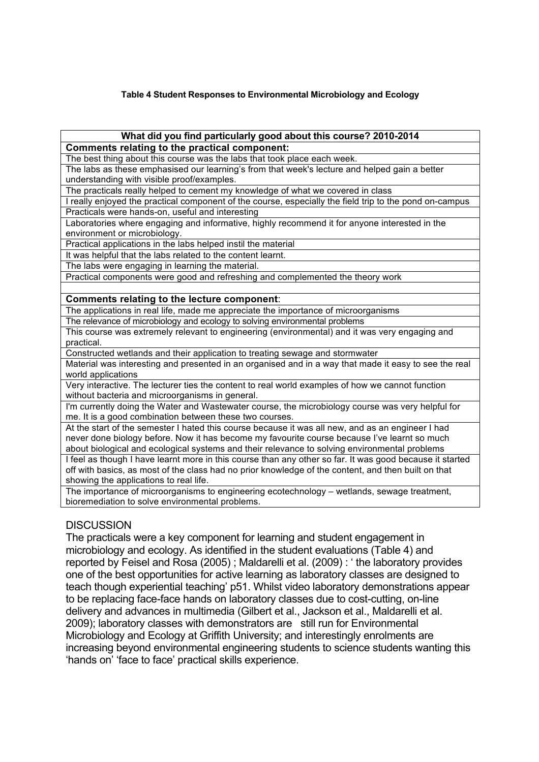## **Table 4 Student Responses to Environmental Microbiology and Ecology**

#### **What did you find particularly good about this course? 2010-2014 Comments relating to the practical component:**

The best thing about this course was the labs that took place each week.

The labs as these emphasised our learning's from that week's lecture and helped gain a better understanding with visible proof/examples.

The practicals really helped to cement my knowledge of what we covered in class

I really enjoyed the practical component of the course, especially the field trip to the pond on-campus Practicals were hands-on, useful and interesting

Laboratories where engaging and informative, highly recommend it for anyone interested in the environment or microbiology.

Practical applications in the labs helped instil the material

It was helpful that the labs related to the content learnt.

The labs were engaging in learning the material.

Practical components were good and refreshing and complemented the theory work

#### **Comments relating to the lecture component**:

The applications in real life, made me appreciate the importance of microorganisms

The relevance of microbiology and ecology to solving environmental problems

This course was extremely relevant to engineering (environmental) and it was very engaging and practical.

Constructed wetlands and their application to treating sewage and stormwater

Material was interesting and presented in an organised and in a way that made it easy to see the real world applications

Very interactive. The lecturer ties the content to real world examples of how we cannot function without bacteria and microorganisms in general.

I'm currently doing the Water and Wastewater course, the microbiology course was very helpful for me. It is a good combination between these two courses.

At the start of the semester I hated this course because it was all new, and as an engineer I had never done biology before. Now it has become my favourite course because I've learnt so much about biological and ecological systems and their relevance to solving environmental problems

I feel as though I have learnt more in this course than any other so far. It was good because it started off with basics, as most of the class had no prior knowledge of the content, and then built on that showing the applications to real life.

The importance of microorganisms to engineering ecotechnology – wetlands, sewage treatment, bioremediation to solve environmental problems.

## **DISCUSSION**

The practicals were a key component for learning and student engagement in microbiology and ecology. As identified in the student evaluations (Table 4) and reported by Feisel and Rosa (2005) ; Maldarelli et al. (2009) : ' the laboratory provides one of the best opportunities for active learning as laboratory classes are designed to teach though experiential teaching' p51. Whilst video laboratory demonstrations appear to be replacing face-face hands on laboratory classes due to cost-cutting, on-line delivery and advances in multimedia (Gilbert et al., Jackson et al., Maldarelli et al. 2009); laboratory classes with demonstrators are still run for Environmental Microbiology and Ecology at Griffith University; and interestingly enrolments are increasing beyond environmental engineering students to science students wanting this 'hands on' 'face to face' practical skills experience.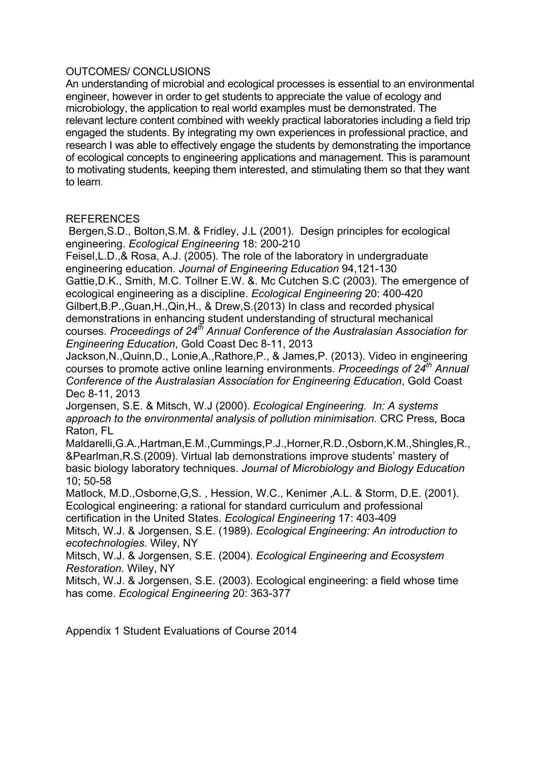# OUTCOMES/ CONCLUSIONS

An understanding of microbial and ecological processes is essential to an environmental engineer, however in order to get students to appreciate the value of ecology and microbiology, the application to real world examples must be demonstrated. The relevant lecture content combined with weekly practical laboratories including a field trip engaged the students. By integrating my own experiences in professional practice, and research I was able to effectively engage the students by demonstrating the importance of ecological concepts to engineering applications and management. This is paramount to motivating students, keeping them interested, and stimulating them so that they want to learn.

# **REFERENCES**

Bergen,S.D., Bolton,S.M. & Fridley, J.L (2001). Design principles for ecological engineering. *Ecological Engineering* 18: 200-210

Feisel,L.D.,& Rosa, A.J. (2005). The role of the laboratory in undergraduate engineering education. *Journal of Engineering Education* 94,121-130

Gattie,D.K., Smith, M.C. Tollner E.W. &. Mc Cutchen S.C (2003). The emergence of ecological engineering as a discipline. *Ecological Engineering* 20: 400-420

Gilbert,B.P.,Guan,H.,Qin,H., & Drew,S.(2013) In class and recorded physical demonstrations in enhancing student understanding of structural mechanical courses. *Proceedings of 24th Annual Conference of the Australasian Association for Engineering Education*, Gold Coast Dec 8-11, 2013

Jackson,N.,Quinn,D., Lonie,A.,Rathore,P., & James,P. (2013). Video in engineering courses to promote active online learning environments. *Proceedings of 24th Annual Conference of the Australasian Association for Engineering Education*, Gold Coast Dec 8-11, 2013

Jorgensen, S.E. & Mitsch, W.J (2000). *Ecological Engineering. In: A systems approach to the environmental analysis of pollution minimisation.* CRC Press, Boca Raton, FL

Maldarelli,G.A.,Hartman,E.M.,Cummings,P.J.,Horner,R.D.,Osborn,K.M.,Shingles,R., &Pearlman,R.S.(2009). Virtual lab demonstrations improve students' mastery of basic biology laboratory techniques. *Journal of Microbiology and Biology Education* 10; 50-58

Matlock, M.D.,Osborne,G,S. , Hession, W.C., Kenimer ,A.L. & Storm, D.E. (2001). Ecological engineering: a rational for standard curriculum and professional certification in the United States. *Ecological Engineering* 17: 403-409

Mitsch, W.J. & Jorgensen, S.E. (1989). *Ecological Engineering: An introduction to ecotechnologies.* Wiley, NY

Mitsch, W.J. & Jorgensen, S.E. (2004). *Ecological Engineering and Ecosystem Restoration.* Wiley, NY

Mitsch, W.J. & Jorgensen, S.E. (2003). Ecological engineering: a field whose time has come. *Ecological Engineering* 20: 363-377

Appendix 1 Student Evaluations of Course 2014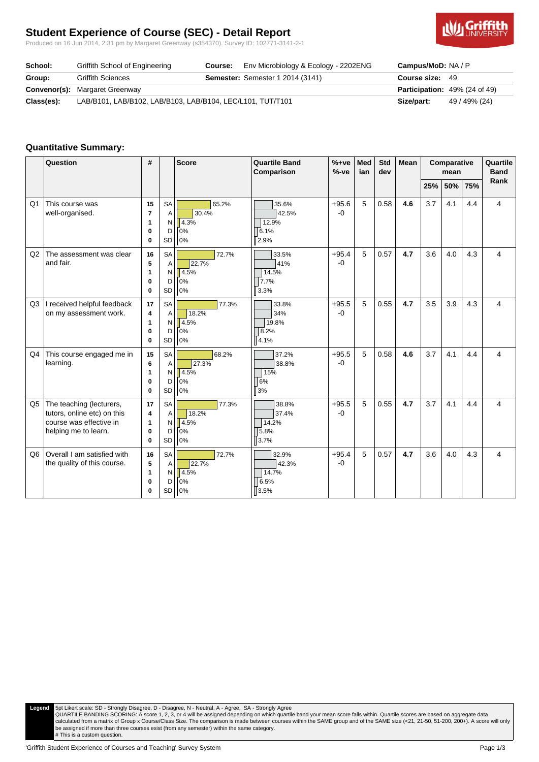# **Student Experience of Course (SEC) - Detail Report**

Produced on 16 Jun 2014, 2:31 pm by Margaret Greenway (s354370). Survey ID: 102771-3141-2-1



| School:    | Griffith School of Engineering                             | Course: | Env Microbiology & Ecology - 2202ENG    | <b>Campus/MoD: NA/P</b>              |               |
|------------|------------------------------------------------------------|---------|-----------------------------------------|--------------------------------------|---------------|
| Group:     | <b>Griffith Sciences</b>                                   |         | <b>Semester:</b> Semester 1 2014 (3141) | Course size: 49                      |               |
|            | <b>Convenor(s):</b> Margaret Greenway                      |         |                                         | <b>Participation:</b> 49% (24 of 49) |               |
| Class(es): | LAB/B101, LAB/B102, LAB/B103, LAB/B104, LEC/L101, TUT/T101 |         |                                         | Size/part:                           | 49 / 49% (24) |

#### **Quantitative Summary:**

|                | Question                                                                                                   | #                                   |                                       | <b>Score</b>                          | <b>Quartile Band</b><br>Comparison      | $%+ve$<br>$%-ve$ | Med<br>ian | Std<br>dev | <b>Mean</b> | Comparative<br>mean |     | Quartile<br><b>Band</b><br>Rank |   |
|----------------|------------------------------------------------------------------------------------------------------------|-------------------------------------|---------------------------------------|---------------------------------------|-----------------------------------------|------------------|------------|------------|-------------|---------------------|-----|---------------------------------|---|
|                |                                                                                                            |                                     |                                       |                                       |                                         |                  |            |            |             | 25%                 | 50% | 75%                             |   |
| Q1             | This course was<br>well-organised.                                                                         | 15<br>$\overline{7}$<br>1<br>0<br>0 | <b>SA</b><br>A<br>N<br>D<br>SD        | 65.2%<br>30.4%<br>4.3%<br>0%<br>0%    | 35.6%<br>42.5%<br>12.9%<br>6.1%<br>2.9% | $+95.6$<br>$-0$  | 5          | 0.58       | 4.6         | 3.7                 | 4.1 | 4.4                             | 4 |
| Q2             | The assessment was clear<br>and fair.                                                                      | 16<br>5<br>1<br>0<br>$\bf{0}$       | SA<br>A<br>N<br>D<br>SD               | 72.7%<br>22.7%<br>4.5%<br>0%<br>$0\%$ | 33.5%<br>41%<br>14.5%<br>7.7%<br>3.3%   | $+95.4$<br>$-0$  | 5          | 0.57       | 4.7         | 3.6                 | 4.0 | 4.3                             | 4 |
| Q <sub>3</sub> | I received helpful feedback<br>on my assessment work.                                                      | 17<br>4<br>1<br>0<br>$\bf{0}$       | <b>SA</b><br>A<br>N<br>D<br>SD        | 77.3%<br>18.2%<br>4.5%<br>0%<br>0%    | 33.8%<br>34%<br>19.8%<br>8.2%<br>4.1%   | $+95.5$<br>$-0$  | 5          | 0.55       | 4.7         | 3.5                 | 3.9 | 4.3                             | 4 |
| Q <sub>4</sub> | This course engaged me in<br>learning.                                                                     | 15<br>6<br>1<br>0<br>$\bf{0}$       | <b>SA</b><br>A<br>N<br>D<br><b>SD</b> | 68.2%<br>27.3%<br>4.5%<br>0%<br>0%    | 37.2%<br>38.8%<br>15%<br>6%<br>3%       | $+95.5$<br>$-0$  | 5          | 0.58       | 4.6         | 3.7                 | 4.1 | 4.4                             | 4 |
| Q <sub>5</sub> | The teaching (lecturers,<br>tutors, online etc) on this<br>course was effective in<br>helping me to learn. | 17<br>4<br>1<br>0<br>$\bf{0}$       | <b>SA</b><br>A<br>N<br>D<br>SD        | 77.3%<br>18.2%<br>4.5%<br>0%<br>0%    | 38.8%<br>37.4%<br>14.2%<br>5.8%<br>3.7% | $+95.5$<br>$-0$  | 5          | 0.55       | 4.7         | 3.7                 | 4.1 | 4.4                             | 4 |
| Q <sub>6</sub> | Overall I am satisfied with<br>the quality of this course.                                                 | 16<br>5<br>1<br>0<br>0              | SA<br>A<br>N<br>D<br>SD               | 72.7%<br>22.7%<br>4.5%<br>0%<br>0%    | 32.9%<br>42.3%<br>14.7%<br>6.5%<br>3.5% | $+95.4$<br>$-0$  | 5          | 0.57       | 4.7         | 3.6                 | 4.0 | 4.3                             | 4 |

Legend 5pt Likert scale: SD - Strongly Disagree, D - Disagree, N - Neutral, A - Agree, SA - Strongly Agree<br>QUARTILE BANDING SCORING: A score 1, 2, 3, or 4 will be assigned depending on which quartile in and sore falls wit be assigned if more than three courses exist (from any semester) within the same category. # This is a custom question.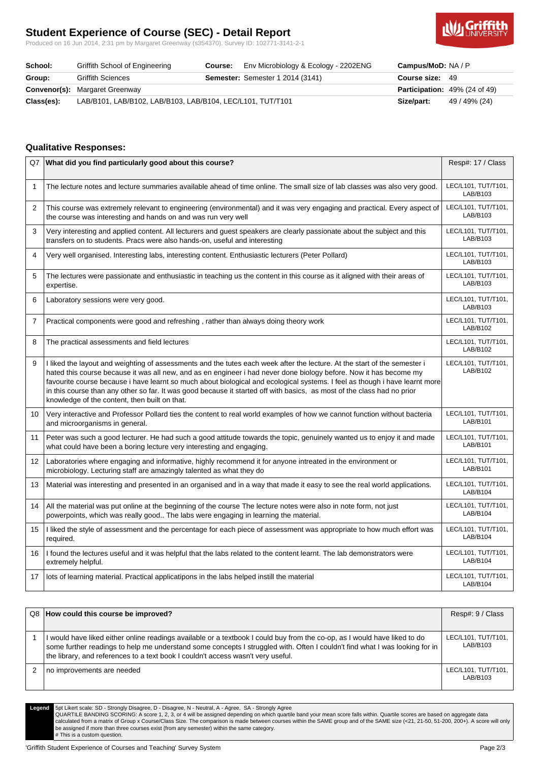# **Student Experience of Course (SEC) - Detail Report**

Produced on 16 Jun 2014, 2:31 pm by Margaret Greenway (s354370). Survey ID: 102771-3141-2-1



| School:    | Griffith School of Engineering                             | Course: | Env Microbiology & Ecology - 2202ENG    | Campus/MoD: NA / P                   |               |
|------------|------------------------------------------------------------|---------|-----------------------------------------|--------------------------------------|---------------|
| Group:     | <b>Griffith Sciences</b>                                   |         | <b>Semester:</b> Semester 1 2014 (3141) | Course size: 49                      |               |
|            | <b>Convenor(s): Margaret Greenway</b>                      |         |                                         | <b>Participation:</b> 49% (24 of 49) |               |
| Class(es): | LAB/B101, LAB/B102, LAB/B103, LAB/B104, LEC/L101, TUT/T101 |         |                                         | Size/part:                           | 49 / 49% (24) |

#### **Qualitative Responses:**

|                | Q7 What did you find particularly good about this course?                                                                                                                                                                                                                                                                                                                                                                                                                                                                                                  | Resp#: 17 / Class               |
|----------------|------------------------------------------------------------------------------------------------------------------------------------------------------------------------------------------------------------------------------------------------------------------------------------------------------------------------------------------------------------------------------------------------------------------------------------------------------------------------------------------------------------------------------------------------------------|---------------------------------|
| $\mathbf{1}$   | The lecture notes and lecture summaries available ahead of time online. The small size of lab classes was also very good.                                                                                                                                                                                                                                                                                                                                                                                                                                  | LEC/L101, TUT/T101,<br>LAB/B103 |
| $\overline{2}$ | This course was extremely relevant to engineering (environmental) and it was very engaging and practical. Every aspect of<br>the course was interesting and hands on and was run very well                                                                                                                                                                                                                                                                                                                                                                 | LEC/L101, TUT/T101,<br>LAB/B103 |
| 3              | Very interesting and applied content. All lecturers and guest speakers are clearly passionate about the subject and this<br>transfers on to students. Pracs were also hands-on, useful and interesting                                                                                                                                                                                                                                                                                                                                                     | LEC/L101, TUT/T101,<br>LAB/B103 |
| 4              | Very well organised. Interesting labs, interesting content. Enthusiastic lecturers (Peter Pollard)                                                                                                                                                                                                                                                                                                                                                                                                                                                         | LEC/L101, TUT/T101,<br>LAB/B103 |
| 5              | The lectures were passionate and enthusiastic in teaching us the content in this course as it aligned with their areas of<br>expertise.                                                                                                                                                                                                                                                                                                                                                                                                                    | LEC/L101, TUT/T101,<br>LAB/B103 |
| 6              | Laboratory sessions were very good.                                                                                                                                                                                                                                                                                                                                                                                                                                                                                                                        | LEC/L101, TUT/T101,<br>LAB/B103 |
| $\overline{7}$ | Practical components were good and refreshing, rather than always doing theory work                                                                                                                                                                                                                                                                                                                                                                                                                                                                        | LEC/L101, TUT/T101,<br>LAB/B102 |
| 8              | The practical assessments and field lectures                                                                                                                                                                                                                                                                                                                                                                                                                                                                                                               | LEC/L101, TUT/T101,<br>LAB/B102 |
| 9              | I liked the layout and weighting of assessments and the tutes each week after the lecture. At the start of the semester i<br>hated this course because it was all new, and as en engineer i had never done biology before. Now it has become my<br>favourite course because i have learnt so much about biological and ecological systems. I feel as though i have learnt more<br>in this course than any other so far. It was good because it started off with basics, as most of the class had no prior<br>knowledge of the content, then built on that. | LEC/L101, TUT/T101,<br>LAB/B102 |
| 10             | Very interactive and Professor Pollard ties the content to real world examples of how we cannot function without bacteria<br>and microorganisms in general.                                                                                                                                                                                                                                                                                                                                                                                                | LEC/L101, TUT/T101,<br>LAB/B101 |
| 11             | Peter was such a good lecturer. He had such a good attitude towards the topic, genuinely wanted us to enjoy it and made<br>what could have been a boring lecture very interesting and engaging.                                                                                                                                                                                                                                                                                                                                                            | LEC/L101, TUT/T101,<br>LAB/B101 |
| 12             | Laboratories where engaging and informative, highly recommend it for anyone intreated in the environment or<br>microbiology. Lecturing staff are amazingly talented as what they do                                                                                                                                                                                                                                                                                                                                                                        | LEC/L101, TUT/T101,<br>LAB/B101 |
| 13             | Material was interesting and presented in an organised and in a way that made it easy to see the real world applications.                                                                                                                                                                                                                                                                                                                                                                                                                                  | LEC/L101, TUT/T101,<br>LAB/B104 |
| 14             | All the material was put online at the beginning of the course The lecture notes were also in note form, not just<br>powerpoints, which was really good The labs were engaging in learning the material.                                                                                                                                                                                                                                                                                                                                                   | LEC/L101, TUT/T101,<br>LAB/B104 |
| 15             | I liked the style of assessment and the percentage for each piece of assessment was appropriate to how much effort was<br>required.                                                                                                                                                                                                                                                                                                                                                                                                                        | LEC/L101, TUT/T101,<br>LAB/B104 |
| 16             | I found the lectures useful and it was helpful that the labs related to the content learnt. The lab demonstrators were<br>extremely helpful.                                                                                                                                                                                                                                                                                                                                                                                                               | LEC/L101, TUT/T101,<br>LAB/B104 |
| 17             | lots of learning material. Practical applicatipons in the labs helped instill the material                                                                                                                                                                                                                                                                                                                                                                                                                                                                 | LEC/L101, TUT/T101,<br>LAB/B104 |

| Q8 How could this course be improved?                                                                                                                                                                                                                                                                                                        | Resp#: 9 / Class                |
|----------------------------------------------------------------------------------------------------------------------------------------------------------------------------------------------------------------------------------------------------------------------------------------------------------------------------------------------|---------------------------------|
|                                                                                                                                                                                                                                                                                                                                              |                                 |
| I would have liked either online readings available or a textbook I could buy from the co-op, as I would have liked to do<br>some further readings to help me understand some concepts I struggled with. Often I couldn't find what I was looking for in<br>the library, and references to a text book I couldn't access wasn't very useful. | LEC/L101, TUT/T101,<br>LAB/B103 |
| no improvements are needed                                                                                                                                                                                                                                                                                                                   | LEC/L101, TUT/T101,<br>LAB/B103 |

Legend 5pt Likert scale: SD - Strongly Disagree, D - Disagree, N - Neutral, A - Agree, SA - Strongly Agree<br>QUARTILE BANDING SCORING: A score 1, 2, 3, or 4 will be assigned depending on which quartile in and sore falls wit be assigned if more than three courses exist (from any semester) within the same category. # This is a custom question.